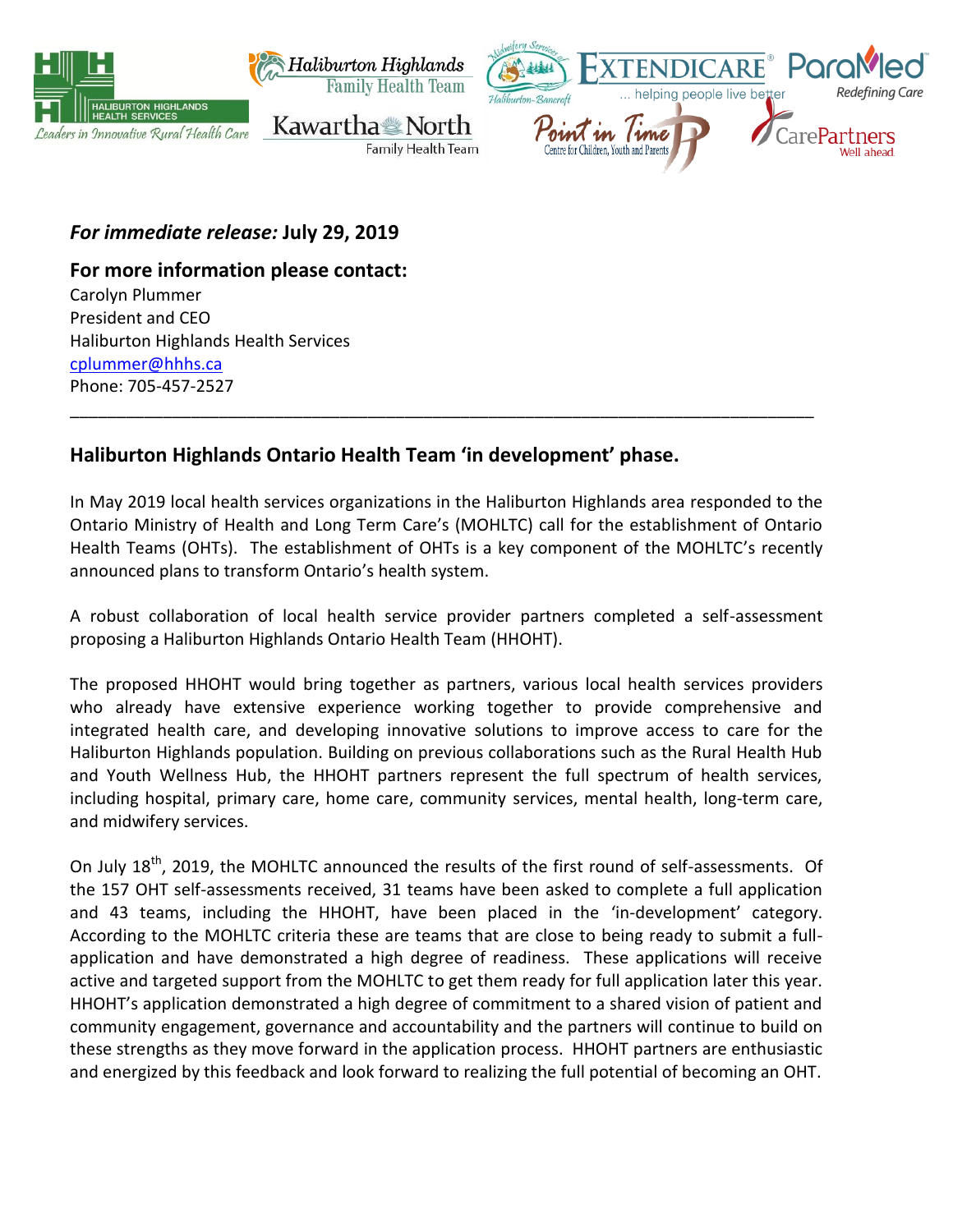

*For immediate release:* **July 29, 2019**

**For more information please contact:**  Carolyn Plummer

President and CEO Haliburton Highlands Health Services [cplummer@hhhs.ca](mailto:cplummer@hhhs.ca) Phone: 705-457-2527

# **Haliburton Highlands Ontario Health Team 'in development' phase.**

In May 2019 local health services organizations in the Haliburton Highlands area responded to the Ontario Ministry of Health and Long Term Care's (MOHLTC) call for the establishment of Ontario Health Teams (OHTs). The establishment of OHTs is a key component of the MOHLTC's recently announced plans to transform Ontario's health system.

\_\_\_\_\_\_\_\_\_\_\_\_\_\_\_\_\_\_\_\_\_\_\_\_\_\_\_\_\_\_\_\_\_\_\_\_\_\_\_\_\_\_\_\_\_\_\_\_\_\_\_\_\_\_\_\_\_\_\_\_\_\_\_\_\_\_\_\_\_\_\_\_\_\_\_\_\_\_\_\_

A robust collaboration of local health service provider partners completed a self-assessment proposing a Haliburton Highlands Ontario Health Team (HHOHT).

The proposed HHOHT would bring together as partners, various local health services providers who already have extensive experience working together to provide comprehensive and integrated health care, and developing innovative solutions to improve access to care for the Haliburton Highlands population. Building on previous collaborations such as the Rural Health Hub and Youth Wellness Hub, the HHOHT partners represent the full spectrum of health services, including hospital, primary care, home care, community services, mental health, long-term care, and midwifery services.

On July 18<sup>th</sup>, 2019, the MOHLTC announced the results of the first round of self-assessments. Of the 157 OHT self-assessments received, 31 teams have been asked to complete a full application and 43 teams, including the HHOHT, have been placed in the 'in-development' category. According to the MOHLTC criteria these are teams that are close to being ready to submit a fullapplication and have demonstrated a high degree of readiness. These applications will receive active and targeted support from the MOHLTC to get them ready for full application later this year. HHOHT's application demonstrated a high degree of commitment to a shared vision of patient and community engagement, governance and accountability and the partners will continue to build on these strengths as they move forward in the application process. HHOHT partners are enthusiastic and energized by this feedback and look forward to realizing the full potential of becoming an OHT.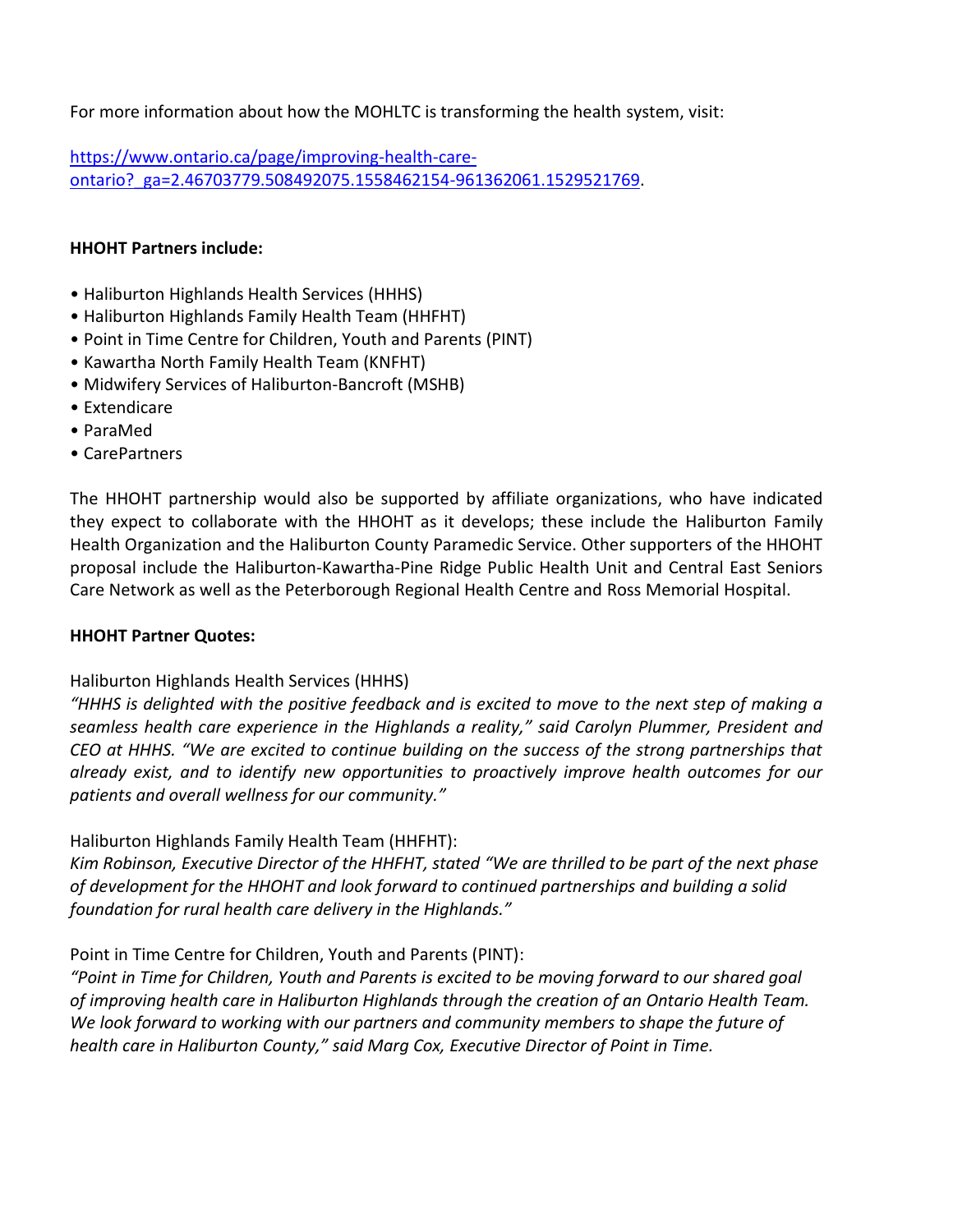For more information about how the MOHLTC is transforming the health system, visit:

[https://www.ontario.ca/page/improving-health-care](https://www.ontario.ca/page/improving-health-care-ontario?_ga=2.46703779.508492075.1558462154-961362061.1529521769)[ontario?\\_ga=2.46703779.508492075.1558462154-961362061.1529521769.](https://www.ontario.ca/page/improving-health-care-ontario?_ga=2.46703779.508492075.1558462154-961362061.1529521769)

## **HHOHT Partners include:**

- Haliburton Highlands Health Services (HHHS)
- Haliburton Highlands Family Health Team (HHFHT)
- Point in Time Centre for Children, Youth and Parents (PINT)
- Kawartha North Family Health Team (KNFHT)
- Midwifery Services of Haliburton-Bancroft (MSHB)
- Extendicare
- ParaMed
- CarePartners

The HHOHT partnership would also be supported by affiliate organizations, who have indicated they expect to collaborate with the HHOHT as it develops; these include the Haliburton Family Health Organization and the Haliburton County Paramedic Service. Other supporters of the HHOHT proposal include the Haliburton-Kawartha-Pine Ridge Public Health Unit and Central East Seniors Care Network as well as the Peterborough Regional Health Centre and Ross Memorial Hospital.

#### **HHOHT Partner Quotes:**

# Haliburton Highlands Health Services (HHHS)

*"HHHS is delighted with the positive feedback and is excited to move to the next step of making a seamless health care experience in the Highlands a reality," said Carolyn Plummer, President and CEO at HHHS. "We are excited to continue building on the success of the strong partnerships that already exist, and to identify new opportunities to proactively improve health outcomes for our patients and overall wellness for our community."*

Haliburton Highlands Family Health Team (HHFHT):

*Kim Robinson, Executive Director of the HHFHT, stated "We are thrilled to be part of the next phase of development for the HHOHT and look forward to continued partnerships and building a solid foundation for rural health care delivery in the Highlands."*

# Point in Time Centre for Children, Youth and Parents (PINT):

*"Point in Time for Children, Youth and Parents is excited to be moving forward to our shared goal of improving health care in Haliburton Highlands through the creation of an Ontario Health Team. We look forward to working with our partners and community members to shape the future of health care in Haliburton County," said Marg Cox, Executive Director of Point in Time.*